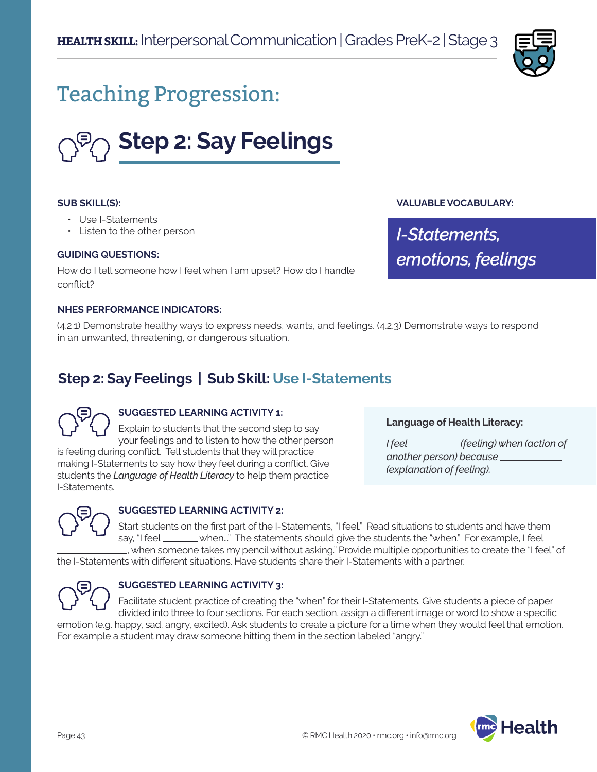

# Teaching Progression:



#### **SUB SKILL(S):**

- Use I-Statements
- Listen to the other person

#### **GUIDING QUESTIONS:**

How do I tell someone how I feel when I am upset? How do I handle conflict?

#### **NHES PERFORMANCE INDICATORS:**

(4.2.1) Demonstrate healthy ways to express needs, wants, and feelings. (4.2.3) Demonstrate ways to respond in an unwanted, threatening, or dangerous situation.

# **Step 2: Say Feelings | Sub Skill: Use I-Statements**



#### **SUGGESTED LEARNING ACTIVITY 1:**

Explain to students that the second step to say your feelings and to listen to how the other person is feeling during conflict. Tell students that they will practice making I-Statements to say how they feel during a conflict. Give students the *Language of Health Literacy* to help them practice I-Statements.

## **Language of Health Literacy:**

**VALUABLE VOCABULARY:**

*emotions, feelings*

*I-Statements,* 

*I feel (feeling) when (action of another person) because (explanation of feeling).*



#### **SUGGESTED LEARNING ACTIVITY 2:**

Start students on the first part of the I-Statements, "I feel." Read situations to students and have them say, "I feel when..." The statements should give the students the "when." For example, I feel , when someone takes my pencil without asking." Provide multiple opportunities to create the "I feel" of

the I-Statements with different situations. Have students share their I-Statements with a partner.



#### **SUGGESTED LEARNING ACTIVITY 3:**

Facilitate student practice of creating the "when" for their I-Statements. Give students a piece of paper divided into three to four sections. For each section, assign a different image or word to show a specific emotion (e.g. happy, sad, angry, excited). Ask students to create a picture for a time when they would feel that emotion. For example a student may draw someone hitting them in the section labeled "angry."